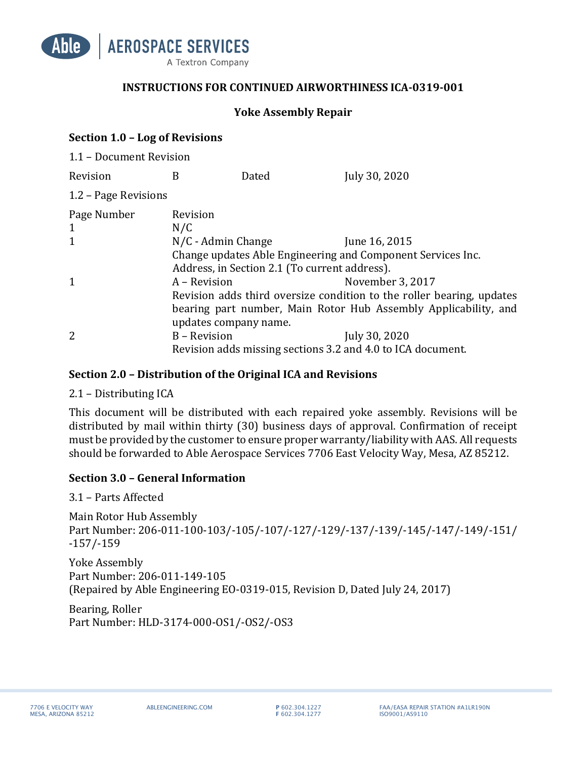

### **INSTRUCTIONS FOR CONTINUED AIRWORTHINESS ICA-0319-001**

### **Yoke Assembly Repair**

### **Section 1.0 – Log of Revisions**

| 1.1 - Document Revision |                                                                       |       |                  |  |  |  |  |
|-------------------------|-----------------------------------------------------------------------|-------|------------------|--|--|--|--|
| Revision                | B                                                                     | Dated | July 30, 2020    |  |  |  |  |
| 1.2 - Page Revisions    |                                                                       |       |                  |  |  |  |  |
| Page Number             | Revision                                                              |       |                  |  |  |  |  |
| $\mathbf{1}$            | N/C                                                                   |       |                  |  |  |  |  |
| $\mathbf{1}$            | $N/C$ - Admin Change                                                  |       | June 16, 2015    |  |  |  |  |
|                         | Change updates Able Engineering and Component Services Inc.           |       |                  |  |  |  |  |
|                         | Address, in Section 2.1 (To current address).                         |       |                  |  |  |  |  |
| 1                       | A – Revision                                                          |       | November 3, 2017 |  |  |  |  |
|                         | Revision adds third oversize condition to the roller bearing, updates |       |                  |  |  |  |  |
|                         | bearing part number, Main Rotor Hub Assembly Applicability, and       |       |                  |  |  |  |  |
|                         | updates company name.                                                 |       |                  |  |  |  |  |
| $\overline{2}$          | B – Revision                                                          |       | July 30, 2020    |  |  |  |  |
|                         | Revision adds missing sections 3.2 and 4.0 to ICA document.           |       |                  |  |  |  |  |

### **Section 2.0 - Distribution of the Original ICA and Revisions**

#### $2.1 -$  Distributing ICA

This document will be distributed with each repaired yoke assembly. Revisions will be distributed by mail within thirty (30) business days of approval. Confirmation of receipt must be provided by the customer to ensure proper warranty/liability with AAS. All requests should be forwarded to Able Aerospace Services 7706 East Velocity Way, Mesa, AZ 85212.

# **Section 3.0 – General Information**

3.1 – Parts Affected

Main Rotor Hub Assembly Part Number: 206-011-100-103/-105/-107/-127/-129/-137/-139/-145/-147/-149/-151/ -157/-159

Yoke Assembly Part Number: 206-011-149-105 (Repaired by Able Engineering EO-0319-015, Revision D, Dated July 24, 2017)

Bearing, Roller Part Number: HLD-3174-000-OS1/-OS2/-OS3